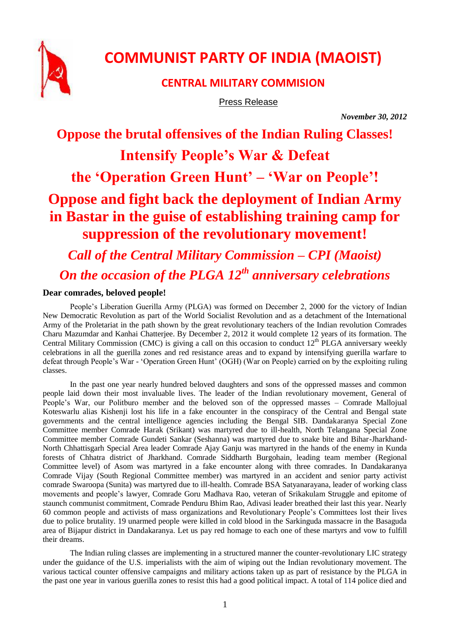

# **COMMUNIST PARTY OF INDIA (MAOIST)**

### **CENTRAL MILITARY COMMISION**

Press Release

*November 30, 2012*

# **Oppose the brutal offensives of the Indian Ruling Classes! Intensify People's War & Defeat**

# **the 'Operation Green Hunt' – 'War on People'!**

# **Oppose and fight back the deployment of Indian Army in Bastar in the guise of establishing training camp for suppression of the revolutionary movement!**

*Call of the Central Military Commission – CPI (Maoist) On the occasion of the PLGA 12th anniversary celebrations*

### **Dear comrades, beloved people!**

People's Liberation Guerilla Army (PLGA) was formed on December 2, 2000 for the victory of Indian New Democratic Revolution as part of the World Socialist Revolution and as a detachment of the International Army of the Proletariat in the path shown by the great revolutionary teachers of the Indian revolution Comrades Charu Mazumdar and Kanhai Chatterjee. By December 2, 2012 it would complete 12 years of its formation. The Central Military Commission (CMC) is giving a call on this occasion to conduct 12<sup>th</sup> PLGA anniversary weekly celebrations in all the guerilla zones and red resistance areas and to expand by intensifying guerilla warfare to defeat through People's War - 'Operation Green Hunt' (OGH) (War on People) carried on by the exploiting ruling classes.

In the past one year nearly hundred beloved daughters and sons of the oppressed masses and common people laid down their most invaluable lives. The leader of the Indian revolutionary movement, General of People's War, our Politburo member and the beloved son of the oppressed masses – Comrade Mallojual Koteswarlu alias Kishenii lost his life in a fake encounter in the conspiracy of the Central and Bengal state governments and the central intelligence agencies including the Bengal SIB. Dandakaranya Special Zone Committee member Comrade Harak (Srikant) was martyred due to ill-health, North Telangana Special Zone Committee member Comrade Gundeti Sankar (Seshanna) was martyred due to snake bite and Bihar-Jharkhand-North Chhattisgarh Special Area leader Comrade Ajay Ganju was martyred in the hands of the enemy in Kunda forests of Chhatra district of Jharkhand. Comrade Siddharth Burgohain, leading team member (Regional Committee level) of Asom was martyred in a fake encounter along with three comrades. In Dandakaranya Comrade Vijay (South Regional Committee member) was martyred in an accident and senior party activist comrade Swaroopa (Sunita) was martyred due to ill-health. Comrade BSA Satyanarayana, leader of working class movements and people's lawyer, Comrade Goru Madhava Rao, veteran of Srikakulam Struggle and epitome of staunch communist commitment, Comrade Penduru Bhim Rao, Adivasi leader breathed their last this year. Nearly 60 common people and activists of mass organizations and Revolutionary People's Committees lost their lives due to police brutality. 19 unarmed people were killed in cold blood in the Sarkinguda massacre in the Basaguda area of Bijapur district in Dandakaranya. Let us pay red homage to each one of these martyrs and vow to fulfill their dreams.

The Indian ruling classes are implementing in a structured manner the counter-revolutionary LIC strategy under the guidance of the U.S. imperialists with the aim of wiping out the Indian revolutionary movement. The various tactical counter offensive campaigns and military actions taken up as part of resistance by the PLGA in the past one year in various guerilla zones to resist this had a good political impact. A total of 114 police died and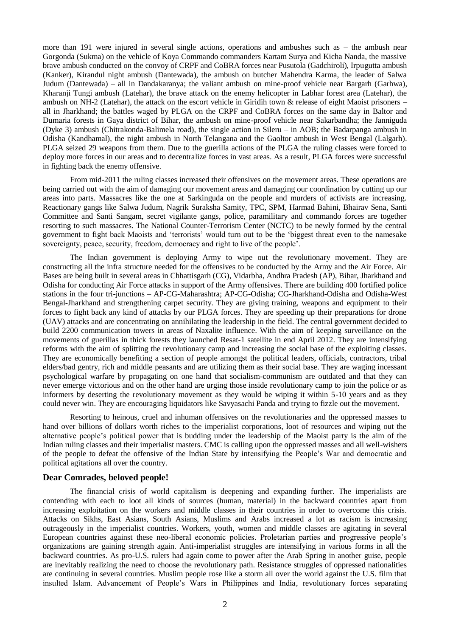more than 191 were injured in several single actions, operations and ambushes such as – the ambush near Gorgonda (Sukma) on the vehicle of Koya Commando commanders Kartam Surya and Kicha Nanda, the massive brave ambush conducted on the convoy of CRPF and CoBRA forces near Pusutola (Gadchiroli), Irpugutta ambush (Kanker), Kirandul night ambush (Dantewada), the ambush on butcher Mahendra Karma, the leader of Salwa Judum (Dantewada) – all in Dandakaranya; the valiant ambush on mine-proof vehicle near Bargarh (Garhwa), Kharanji Tungi ambush (Latehar), the brave attack on the enemy helicopter in Labhar forest area (Latehar), the ambush on NH-2 (Latehar), the attack on the escort vehicle in Giridih town & release of eight Maoist prisoners – all in Jharkhand; the battles waged by PLGA on the CRPF and CoBRA forces on the same day in Baltor and Dumaria forests in Gaya district of Bihar, the ambush on mine-proof vehicle near Sakarbandha; the Janniguda (Dyke 3) ambush (Chitrakonda-Balimela road), the single action in Sileru – in AOB; the Badarpanga ambush in Odisha (Kandhamal), the night ambush in North Telangana and the Gaoltor ambush in West Bengal (Lalgarh). PLGA seized 29 weapons from them. Due to the guerilla actions of the PLGA the ruling classes were forced to deploy more forces in our areas and to decentralize forces in vast areas. As a result, PLGA forces were successful in fighting back the enemy offensive.

From mid-2011 the ruling classes increased their offensives on the movement areas. These operations are being carried out with the aim of damaging our movement areas and damaging our coordination by cutting up our areas into parts. Massacres like the one at Sarkinguda on the people and murders of activists are increasing. Reactionary gangs like Salwa Judum, Nagrik Suraksha Samity, TPC, SPM, Harmad Bahini, Bhairav Sena, Santi Committee and Santi Sangam, secret vigilante gangs, police, paramilitary and commando forces are together resorting to such massacres. The National Counter-Terrorism Center (NCTC) to be newly formed by the central government to fight back Maoists and 'terrorists' would turn out to be the 'biggest threat even to the namesake sovereignty, peace, security, freedom, democracy and right to live of the people'.

The Indian government is deploying Army to wipe out the revolutionary movement. They are constructing all the infra structure needed for the offensives to be conducted by the Army and the Air Force. Air Bases are being built in several areas in Chhattisgarh (CG), Vidarbha, Andhra Pradesh (AP), Bihar, Jharkhand and Odisha for conducting Air Force attacks in support of the Army offensives. There are building 400 fortified police stations in the four tri-junctions – AP-CG-Maharashtra; AP-CG-Odisha; CG-Jharkhand-Odisha and Odisha-West Bengal-Jharkhand and strengthening carpet security. They are giving training, weapons and equipment to their forces to fight back any kind of attacks by our PLGA forces. They are speeding up their preparations for drone (UAV) attacks and are concentrating on annihilating the leadership in the field. The central government decided to build 2200 communication towers in areas of Naxalite influence. With the aim of keeping surveillance on the movements of guerillas in thick forests they launched Resat-1 satellite in end April 2012. They are intensifying reforms with the aim of splitting the revolutionary camp and increasing the social base of the exploiting classes. They are economically benefiting a section of people amongst the political leaders, officials, contractors, tribal elders/bad gentry, rich and middle peasants and are utilizing them as their social base. They are waging incessant psychological warfare by propagating on one hand that socialism-communism are outdated and that they can never emerge victorious and on the other hand are urging those inside revolutionary camp to join the police or as informers by deserting the revolutionary movement as they would be wiping it within 5-10 years and as they could never win. They are encouraging liquidators like Savyasachi Panda and trying to fizzle out the movement.

Resorting to heinous, cruel and inhuman offensives on the revolutionaries and the oppressed masses to hand over billions of dollars worth riches to the imperialist corporations, loot of resources and wiping out the alternative people's political power that is budding under the leadership of the Maoist party is the aim of the Indian ruling classes and their imperialist masters. CMC is calling upon the oppressed masses and all well-wishers of the people to defeat the offensive of the Indian State by intensifying the People's War and democratic and political agitations all over the country.

#### **Dear Comrades, beloved people!**

The financial crisis of world capitalism is deepening and expanding further. The imperialists are contending with each to loot all kinds of sources (human, material) in the backward countries apart from increasing exploitation on the workers and middle classes in their countries in order to overcome this crisis. Attacks on Sikhs, East Asians, South Asians, Muslims and Arabs increased a lot as racism is increasing outrageously in the imperialist countries. Workers, youth, women and middle classes are agitating in several European countries against these neo-liberal economic policies. Proletarian parties and progressive people's organizations are gaining strength again. Anti-imperialist struggles are intensifying in various forms in all the backward countries. As pro-U.S. rulers had again come to power after the Arab Spring in another guise, people are inevitably realizing the need to choose the revolutionary path. Resistance struggles of oppressed nationalities are continuing in several countries. Muslim people rose like a storm all over the world against the U.S. film that insulted Islam. Advancement of People's Wars in Philippines and India, revolutionary forces separating